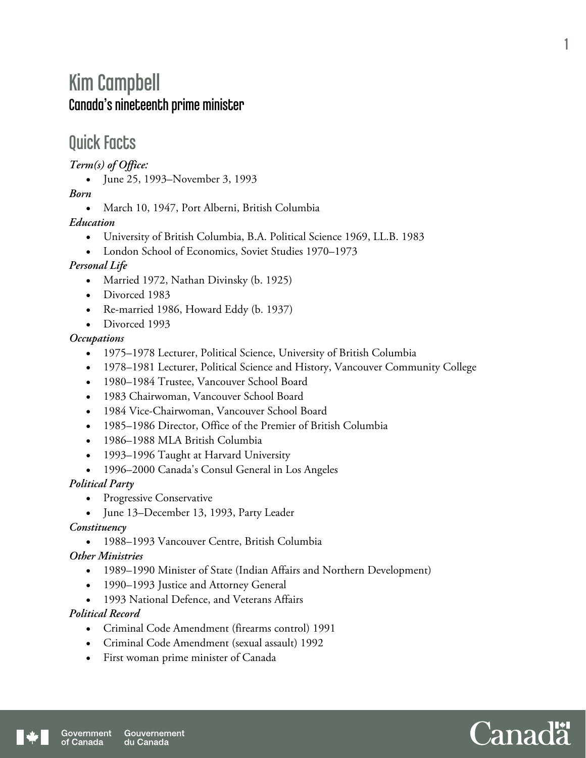# Kim Campbell Canada's nineteenth prime minister

## Quick Facts

*Term(s) of Office:* 

• June 25, 1993–November 3, 1993

*Born* 

• March 10, 1947, Port Alberni, British Columbia

*Education* 

- University of British Columbia, B.A. Political Science 1969, LL.B. 1983
- London School of Economics, Soviet Studies 1970–1973

#### *Personal Life*

- Married 1972, Nathan Divinsky (b. 1925)
- Divorced 1983
- Re-married 1986, Howard Eddy (b. 1937)
- Divorced 1993

#### *Occupations*

- 1975–1978 Lecturer, Political Science, University of British Columbia
- 1978–1981 Lecturer, Political Science and History, Vancouver Community College
- 1980–1984 Trustee, Vancouver School Board
- 1983 Chairwoman, Vancouver School Board
- 1984 Vice-Chairwoman, Vancouver School Board
- 1985–1986 Director, Office of the Premier of British Columbia
- 1986–1988 MLA British Columbia
- 1993–1996 Taught at Harvard University
- 1996–2000 Canada's Consul General in Los Angeles

*Political Party* 

- Progressive Conservative
- June 13–December 13, 1993, Party Leader

#### *Constituency*

1988–1993 Vancouver Centre, British Columbia

*Other Ministries* 

- 1989–1990 Minister of State (Indian Affairs and Northern Development)
- 1990–1993 Justice and Attorney General
- 1993 National Defence, and Veterans Affairs

#### *Political Record*

- Criminal Code Amendment (firearms control) 1991
- Criminal Code Amendment (sexual assault) 1992
- First woman prime minister of Canada

1

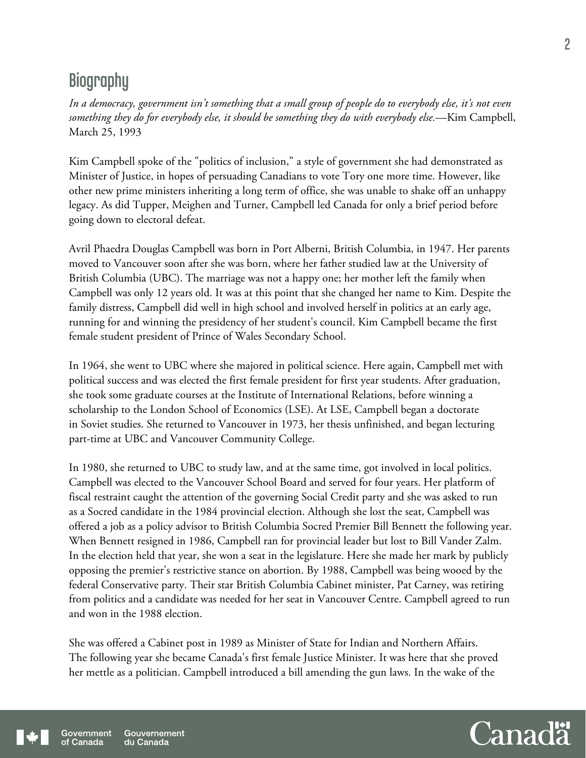## **Biography**

*In a democracy, government isn't something that a small group of people do to everybody else, it's not even something they do for everybody else, it should be something they do with everybody else.*—Kim Campbell, March 25, 1993

Kim Campbell spoke of the "politics of inclusion," a style of government she had demonstrated as Minister of Justice, in hopes of persuading Canadians to vote Tory one more time. However, like other new prime ministers inheriting a long term of office, she was unable to shake off an unhappy legacy. As did Tupper, Meighen and Turner, Campbell led Canada for only a brief period before going down to electoral defeat.

Avril Phaedra Douglas Campbell was born in Port Alberni, British Columbia, in 1947. Her parents moved to Vancouver soon after she was born, where her father studied law at the University of British Columbia (UBC). The marriage was not a happy one; her mother left the family when Campbell was only 12 years old. It was at this point that she changed her name to Kim. Despite the family distress, Campbell did well in high school and involved herself in politics at an early age, running for and winning the presidency of her student's council. Kim Campbell became the first female student president of Prince of Wales Secondary School.

In 1964, she went to UBC where she majored in political science. Here again, Campbell met with political success and was elected the first female president for first year students. After graduation, she took some graduate courses at the Institute of International Relations, before winning a scholarship to the London School of Economics (LSE). At LSE, Campbell began a doctorate in Soviet studies. She returned to Vancouver in 1973, her thesis unfinished, and began lecturing part-time at UBC and Vancouver Community College.

In 1980, she returned to UBC to study law, and at the same time, got involved in local politics. Campbell was elected to the Vancouver School Board and served for four years. Her platform of fiscal restraint caught the attention of the governing Social Credit party and she was asked to run as a Socred candidate in the 1984 provincial election. Although she lost the seat, Campbell was offered a job as a policy advisor to British Columbia Socred Premier Bill Bennett the following year. When Bennett resigned in 1986, Campbell ran for provincial leader but lost to Bill Vander Zalm. In the election held that year, she won a seat in the legislature. Here she made her mark by publicly opposing the premier's restrictive stance on abortion. By 1988, Campbell was being wooed by the federal Conservative party. Their star British Columbia Cabinet minister, Pat Carney, was retiring from politics and a candidate was needed for her seat in Vancouver Centre. Campbell agreed to run and won in the 1988 election.

She was offered a Cabinet post in 1989 as Minister of State for Indian and Northern Affairs. The following year she became Canada's first female Justice Minister. It was here that she proved her mettle as a politician. Campbell introduced a bill amending the gun laws. In the wake of the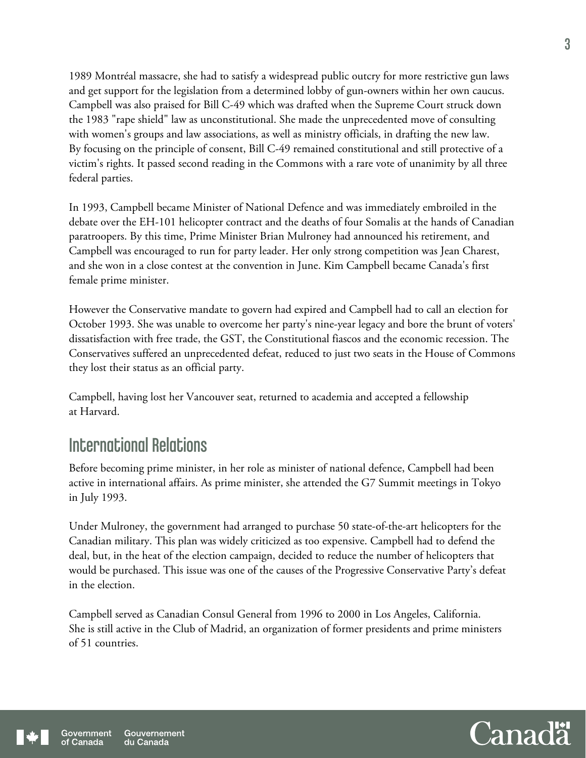1989 Montréal massacre, she had to satisfy a widespread public outcry for more restrictive gun laws and get support for the legislation from a determined lobby of gun-owners within her own caucus. Campbell was also praised for Bill C-49 which was drafted when the Supreme Court struck down the 1983 "rape shield" law as unconstitutional. She made the unprecedented move of consulting with women's groups and law associations, as well as ministry officials, in drafting the new law. By focusing on the principle of consent, Bill C-49 remained constitutional and still protective of a victim's rights. It passed second reading in the Commons with a rare vote of unanimity by all three federal parties.

In 1993, Campbell became Minister of National Defence and was immediately embroiled in the debate over the EH-101 helicopter contract and the deaths of four Somalis at the hands of Canadian paratroopers. By this time, Prime Minister Brian Mulroney had announced his retirement, and Campbell was encouraged to run for party leader. Her only strong competition was Jean Charest, and she won in a close contest at the convention in June. Kim Campbell became Canada's first female prime minister.

However the Conservative mandate to govern had expired and Campbell had to call an election for October 1993. She was unable to overcome her party's nine-year legacy and bore the brunt of voters' dissatisfaction with free trade, the GST, the Constitutional fiascos and the economic recession. The Conservatives suffered an unprecedented defeat, reduced to just two seats in the House of Commons they lost their status as an official party.

Campbell, having lost her Vancouver seat, returned to academia and accepted a fellowship at Harvard.

## International Relations

Before becoming prime minister, in her role as minister of national defence, Campbell had been active in international affairs. As prime minister, she attended the G7 Summit meetings in Tokyo in July 1993.

Under Mulroney, the government had arranged to purchase 50 state-of-the-art helicopters for the Canadian military. This plan was widely criticized as too expensive. Campbell had to defend the deal, but, in the heat of the election campaign, decided to reduce the number of helicopters that would be purchased. This issue was one of the causes of the Progressive Conservative Party's defeat in the election.

Campbell served as Canadian Consul General from 1996 to 2000 in Los Angeles, California. She is still active in the Club of Madrid, an organization of former presidents and prime ministers of 51 countries.

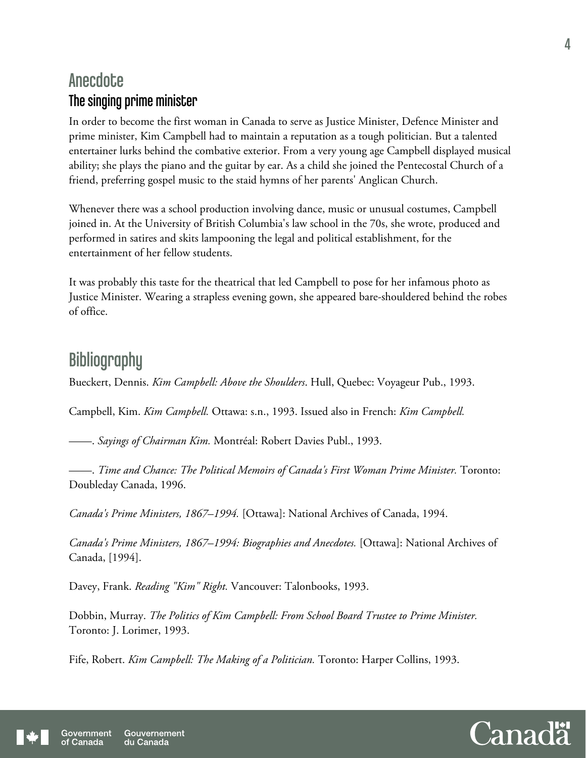### **Anecdote** The singing prime minister

In order to become the first woman in Canada to serve as Justice Minister, Defence Minister and prime minister, Kim Campbell had to maintain a reputation as a tough politician. But a talented entertainer lurks behind the combative exterior. From a very young age Campbell displayed musical ability; she plays the piano and the guitar by ear. As a child she joined the Pentecostal Church of a friend, preferring gospel music to the staid hymns of her parents' Anglican Church.

Whenever there was a school production involving dance, music or unusual costumes, Campbell joined in. At the University of British Columbia's law school in the 70s, she wrote, produced and performed in satires and skits lampooning the legal and political establishment, for the entertainment of her fellow students.

It was probably this taste for the theatrical that led Campbell to pose for her infamous photo as Justice Minister. Wearing a strapless evening gown, she appeared bare-shouldered behind the robes of office.

### **Bibliography**

Bueckert, Dennis. *Kim Campbell: Above the Shoulders*. Hull, Quebec: Voyageur Pub., 1993.

Campbell, Kim. *Kim Campbell.* Ottawa: s.n., 1993. Issued also in French: *Kim Campbell.* 

——. *Sayings of Chairman Kim.* Montréal: Robert Davies Publ., 1993.

——. *Time and Chance: The Political Memoirs of Canada's First Woman Prime Minister.* Toronto: Doubleday Canada, 1996.

*Canada's Prime Ministers, 1867–1994.* [Ottawa]: National Archives of Canada, 1994.

*Canada's Prime Ministers, 1867–1994: Biographies and Anecdotes.* [Ottawa]: National Archives of Canada, [1994].

Davey, Frank. *Reading "Kim" Right.* Vancouver: Talonbooks, 1993.

Dobbin, Murray. *The Politics of Kim Campbell: From School Board Trustee to Prime Minister.* Toronto: J. Lorimer, 1993.

Fife, Robert. *Kim Campbell: The Making of a Politician.* Toronto: Harper Collins, 1993.